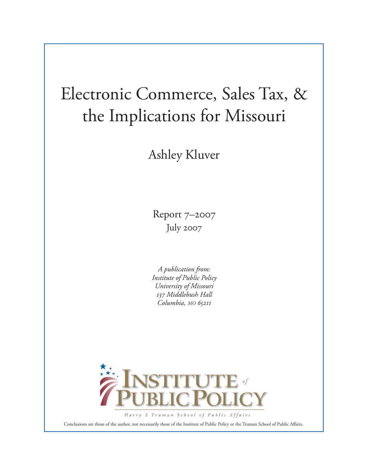# Electronic Commerce, Sales Tax, & the Implications for Missouri

Ashley Kluver

Report 7–2007 July 2007

*A publication from: Institute of Public Policy University of Missouri 137 Middlebush Hall Columbia, MO 65211*



Harry S Truman School of Public Affairs

Conclusions are those of the author, not necessarily those of the Institute of Public Policy or the Truman School of Public Affairs.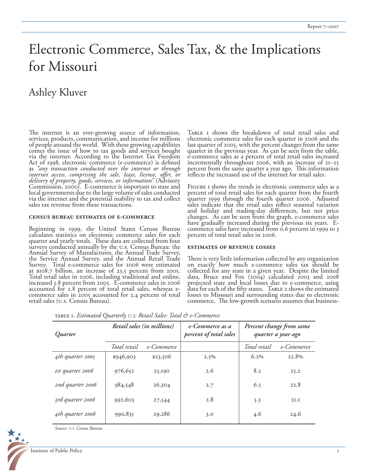## Electronic Commerce, Sales Tax, & the Implications for Missouri

### Ashley Kluver

The internet is an ever-growing source of information, services, products, communication, and income for millions of people around the world. With these growing capabilities comes the issue of how to tax goods and services bought via the internet. According to the Internet Tax Freedom Act of 1998, electronic commerce (e-commerce) is defined<br>as "any transaction conducted over the internet or through internet access, comprising the sale, lease, license, offer, or *delivery of property, goods, services, or information"* (Advisory Commission, 2000). E-commerce is important to state and local governments due to the large volume of sales conducted via the internet and the potential inability to tax and collect sales tax revenue from these transactions.

#### **census bureau estimates of e-commerce**

Beginning in 1999, the United States Census Bureau calculates statistics on electronic commerce sales for each quarter and yearly totals. These data are collected from four surveys conducted annually by the u.s. Census Bureau: the Annual Survey of Manufactures, the Annual Trade Survey, the Service Annual Survey, and the Annual Retail Trade Survey. Total e-commerce sales for 2006 were estimated at \$108.7 billion, an increase of 23.5 percent from 2005. Total retail sales in 2006, including traditional and online, increased 5.8 percent from 2005. E-commerce sales in 2006 accounted for 2.8 percent of total retail sales, whereas ecommerce sales in 2005 accounted for 2.4 percent of total retail sales (u.s. Census Bureau).

TABLE I shows the breakdown of total retail sales and electronic commerce sales for each quarter in 2006 and the last quarter of 2005, with the percent changes from the same quarter in the previous year. As can be seen from the table, e-commerce sales as a percent of total retail sales increased incrementally throughout 2006, with an increase of  $2I-25$ percent from the same quarter a year ago. This information reflects the increased use of the internet for retail sales.

Figure 1 shows the trends in electronic commerce sales as a percent of total retail sales for each quarter from the fourth quarter 1999 through the fourth quarter 2006. Adjusted sales indicate that the retail sales reflect seasonal variation and holiday and trading-day differences, but not price changes. As can be seen from the graph, e-commerce sales have gradually increased during the previous six years. Ecommerce sales have increased from 0.6 percent in 1999 to 3 percent of total retail sales in 2006.

#### **estimates of revenue losses**

There is very little information collected by any organization on exactly how much e-commerce sales tax should be collected for any state in a given year. Despite the limited data, Bruce and Fox (2004) calculated 2003 and 2008 projected state and local losses due to e-commerce, using data for each of the fifty states. TABLE 2 shows the estimated<br>losses to Missouri and surrounding states due to electronic losses to Missouri and surrounding states due to electronic<br>commerce. The low-growth scenario assumes that business-

| Retail sales (in millions) |            | e-Commerce as a<br>percent of total sales | Percent change from same<br>quarter a year ago |            |
|----------------------------|------------|-------------------------------------------|------------------------------------------------|------------|
| Total retail               | e-Commerce |                                           | Total retail                                   | e-Commerce |
| \$946,903                  | \$23,506   | $2.5\%$                                   | $6.2\%$                                        | 22.8%      |
| 976,652                    | 25,190     | 2.6                                       | 8.2                                            | 25.2       |
| 984,548                    | 26,304     | 2.7                                       | 6.5                                            | 22.8       |
| 992,603                    | 27,544     | 2.8                                       | 5.3                                            | 2I.I       |
| 990,835                    | 29,286     | 3.0                                       | 4.6                                            | 24.6       |
|                            |            |                                           |                                                |            |

table 1. *Estimated Quarterly U.S. Retail Sales: Total & e-Commerce*

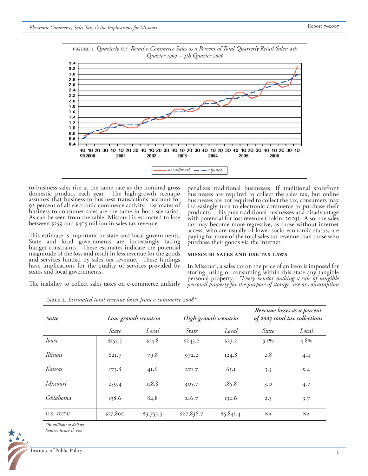*Source: Bruce & Fox*



to-business sales rise at the same rate as the nominal gross domestic product each year. The high-growth scenario assumes that business-to-business transactions account for 92 percent of all electronic commerce activity. Estimates of business-to-consumer sales are the same in both scenarios. As can be seen from the table, Missouri is estimated to lose between \$259 and \$405 million in sales tax revenue.

This estimate is important to state and local governments. State and local governments are increasingly facing<br>budget constraints. These estimates indicate the potential budget constraints. These estimates indicate the potential magnitude of the loss and result in less revenue for the goods and services funded by sales tax revenue. These findings have implications for the quality of services provided by have implications for the quality of services provided by states and local governments.

The inability to collect sales taxes on e-commerce unfairly

penalizes traditional businesses. If traditional storefront businesses are required to collect the sales tax, but online businesses are not required to collect the tax, consumers may increasingly turn to electronic commerce to purchase their products. This puts traditional businesses at a disadvantage with potential for lost revenue (Tokin, 2003). Also, the sales tax may become more regressive, as those without internet access, who are usually of lower socio-economic status, are paying for more of the total sales tax revenue than those who purchase their goods via the internet.

#### **missouri sales and use tax laws**

In Missouri, a sales tax on the price of an item is imposed for storing, using or consuming within this state any tangible personal property: *"Every vendor making a sale of tangible personal property for the purpose of storage, use or consumption* 

| <b>State</b>    | Low-growth scenario |           | High-growth scenario |           | Revenue losses as a percent<br>of 2003 total tax collections |           |
|-----------------|---------------------|-----------|----------------------|-----------|--------------------------------------------------------------|-----------|
|                 | State               | Local     | <i>State</i>         | Local     | <i>State</i>                                                 | Local     |
| <i>Iowa</i>     | \$155.5             | \$14.8    | \$243.2              | \$23.2    | $3.1\%$                                                      | 4.8%      |
| Illinois        | 621.7               | 79.8      | 972.2                | 124.8     | 2.8                                                          | 4.4       |
| Kansas          | 173.8               | 41.6      | 27I.7                | 65.1      | 3.5                                                          | 5.4       |
| Missouri        | 259.4               | II8.8     | 405.7                | 185.8     | 3.0                                                          | 4.7       |
| <i>Oklahoma</i> | 138.6               | 84.8      | 216.7                | 132.6     | 2.3                                                          | 3.7       |
| U.S. TOTAL      | \$17,800            | \$3,753.3 | \$27,836.7           | \$5,841.4 | <b>NA</b>                                                    | <b>NA</b> |

table 2. *Estimated total revenue losses from e-commerce 2008\** 

*\*in millions of dollars*

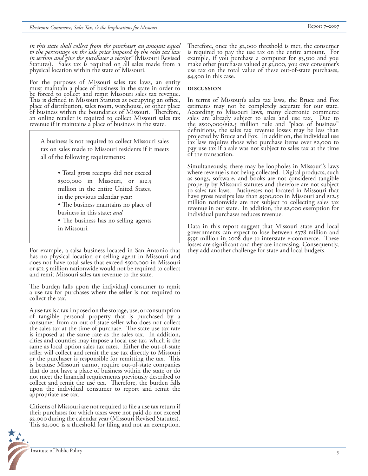*in this state shall collect from the purchaser an amount equal to the percentage on the sale price imposed by the sales tax law in section and give the purchaser a receipt"* (Missouri Revised Statutes). Sales tax is required on all sales made from a physical location within the state of Missouri.

For the purposes of Missouri sales tax laws, an entity must maintain a place of business in the state in order to be forced to collect and remit Missouri sales tax revenue. This is defined in Missouri Statutes as occupying an office, place of distribution, sales room, warehouse, or other place of business within the boundaries of Missouri. Therefore, an online retailer is required to collect Missouri sales tax revenue if it maintains a place of business in the state.

A business is not required to collect Missouri sales tax on sales made to Missouri residents if it meets all of the following requirements:

- Total gross receipts did not exceed \$500,000 in Missouri, or \$12.5 million in the entire United States, in the previous calendar year;
- The business maintains no place of business in this state; *and*
- The business has no selling agents in Missouri.

For example, a salsa business located in San Antonio that has no physical location or selling agent in Missouri and does not have total sales that exceed \$500,000 in Missouri or \$12.5 million nationwide would not be required to collect and remit Missouri sales tax revenue to the state.

The burden falls upon the individual consumer to remit a use tax for purchases where the seller is not required to collect the tax.

A use tax is a tax imposed on the storage, use, or consumption of tangible personal property that is purchased by a consumer from an out-of-state seller who does not collect the sales tax at the time of purchase. The state use tax rate is imposed at the same rate as the sales tax. In addition, cities and counties may impose a local use tax, which is the same as local option sales tax rates. Either the out-of-state seller will collect and remit the use tax directly to Missouri or the purchaser is responsible for remitting the tax. This is because Missouri cannot require out-of-state companies that do not have a place of business within the state or do not meet the financial requirements previously described to collect and remit the use tax. Therefore, the burden falls upon the individual consumer to report and remit the appropriate use tax.

Citizens of Missouri are not required to file a use tax return if their purchases for which taxes were not paid do not exceed \$2,000 during the calendar year (Missouri Revised Statutes). This \$2,000 is a threshold for filing and not an exemption.



Therefore, once the \$2,000 threshold is met, the consumer is required to pay the use tax on the entire amount. For example, if you purchase a computer for \$3,500 and you make other purchases valued at \$1,000, you owe consumer's use tax on the total value of these out-of-state purchases, \$4,500 in this case.

#### **discussion**

In terms of Missouri's sales tax laws, the Bruce and Fox estimates may not be completely accurate for our state. According to Missouri laws, many electronic commerce sales are already subject to sales and use tax. Due to the \$500,000/\$12.5 million rule and "place of business" definitions, the sales tax revenue losses may be less than projected by Bruce and Fox. In addition, the individual use tax law requires those who purchase items over \$2,000 to pay use tax if a sale was not subject to sales tax at the time of the transaction.

Simultaneously, there may be loopholes in Missouri's laws where revenue is not being collected. Digital products, such as songs, software, and books are not considered tangible property by Missouri statutes and therefore are not subject to sales tax laws. Businesses not located in Missouri that have gross receipts less than \$500,000 in Missouri and \$12.5 million nationwide are not subject to collecting sales tax revenue in our state. In addition, the \$2,000 exemption for individual purchases reduces revenue.

Data in this report suggest that Missouri state and local governments can expect to lose between \$378 million and \$591 million in 2008 due to interstate e-commerce. These losses are significant and they are increasing. Consequently, they add another challenge for state and local budgets.